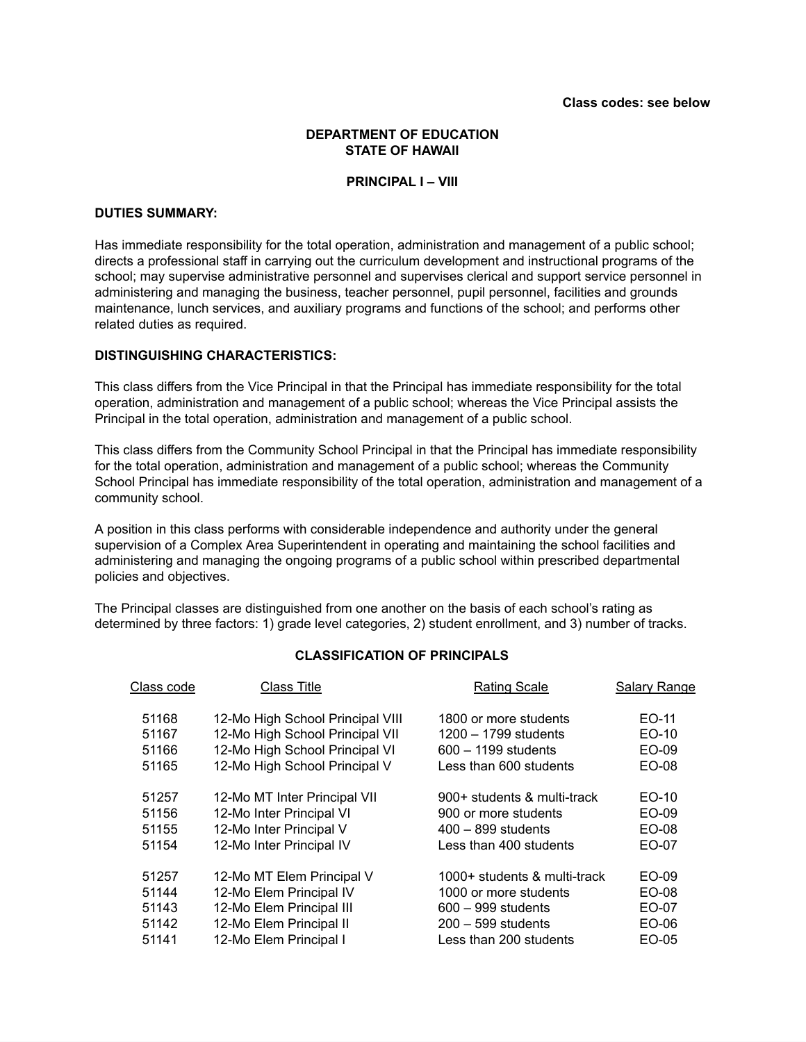# **DEPARTMENT OF EDUCATION STATE OF HAWAII**

#### **PRINCIPAL I – VIII**

# **DUTIES SUMMARY:**

Has immediate responsibility for the total operation, administration and management of a public school; directs a professional staff in carrying out the curriculum development and instructional programs of the school; may supervise administrative personnel and supervises clerical and support service personnel in administering and managing the business, teacher personnel, pupil personnel, facilities and grounds maintenance, lunch services, and auxiliary programs and functions of the school; and performs other related duties as required.

### **DISTINGUISHING CHARACTERISTICS:**

This class differs from the Vice Principal in that the Principal has immediate responsibility for the total operation, administration and management of a public school; whereas the Vice Principal assists the Principal in the total operation, administration and management of a public school.

This class differs from the Community School Principal in that the Principal has immediate responsibility for the total operation, administration and management of a public school; whereas the Community School Principal has immediate responsibility of the total operation, administration and management of a community school.

A position in this class performs with considerable independence and authority under the general supervision of a Complex Area Superintendent in operating and maintaining the school facilities and administering and managing the ongoing programs of a public school within prescribed departmental policies and objectives.

The Principal classes are distinguished from one another on the basis of each school's rating as determined by three factors: 1) grade level categories, 2) student enrollment, and 3) number of tracks.

# **CLASSIFICATION OF PRINCIPALS**

| Class code | Class Title                      | <b>Rating Scale</b>          | <b>Salary Range</b> |
|------------|----------------------------------|------------------------------|---------------------|
| 51168      | 12-Mo High School Principal VIII | 1800 or more students        | EO-11               |
| 51167      | 12-Mo High School Principal VII  | $1200 - 1799$ students       | EO-10               |
| 51166      | 12-Mo High School Principal VI   | $600 - 1199$ students        | EO-09               |
| 51165      | 12-Mo High School Principal V    | Less than 600 students       | EO-08               |
| 51257      | 12-Mo MT Inter Principal VII     | 900+ students & multi-track  | EO-10               |
| 51156      | 12-Mo Inter Principal VI         | 900 or more students         | EO-09               |
| 51155      | 12-Mo Inter Principal V          | $400 - 899$ students         | EO-08               |
| 51154      | 12-Mo Inter Principal IV         | Less than 400 students       | EO-07               |
| 51257      | 12-Mo MT Elem Principal V        | 1000+ students & multi-track | EO-09               |
| 51144      | 12-Mo Elem Principal IV          | 1000 or more students        | EO-08               |
| 51143      | 12-Mo Elem Principal III         | $600 - 999$ students         | EO-07               |
| 51142      | 12-Mo Elem Principal II          | $200 - 599$ students         | EO-06               |
| 51141      | 12-Mo Elem Principal I           | Less than 200 students       | EO-05               |
|            |                                  |                              |                     |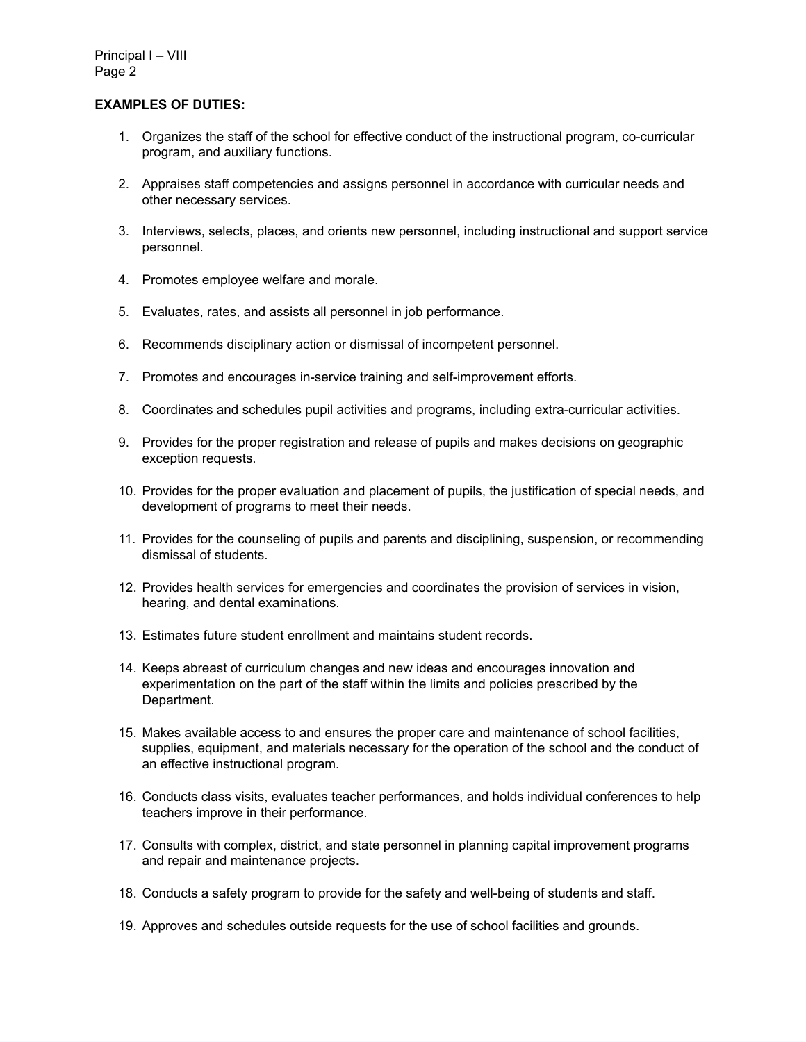# **EXAMPLES OF DUTIES:**

- 1. Organizes the staff of the school for effective conduct of the instructional program, co-curricular program, and auxiliary functions.
- 2. Appraises staff competencies and assigns personnel in accordance with curricular needs and other necessary services.
- 3. Interviews, selects, places, and orients new personnel, including instructional and support service personnel.
- 4. Promotes employee welfare and morale.
- 5. Evaluates, rates, and assists all personnel in job performance.
- 6. Recommends disciplinary action or dismissal of incompetent personnel.
- 7. Promotes and encourages in-service training and self-improvement efforts.
- 8. Coordinates and schedules pupil activities and programs, including extra-curricular activities.
- 9. Provides for the proper registration and release of pupils and makes decisions on geographic exception requests.
- 10. Provides for the proper evaluation and placement of pupils, the justification of special needs, and development of programs to meet their needs.
- 11. Provides for the counseling of pupils and parents and disciplining, suspension, or recommending dismissal of students.
- 12. Provides health services for emergencies and coordinates the provision of services in vision, hearing, and dental examinations.
- 13. Estimates future student enrollment and maintains student records.
- 14. Keeps abreast of curriculum changes and new ideas and encourages innovation and experimentation on the part of the staff within the limits and policies prescribed by the Department.
- 15. Makes available access to and ensures the proper care and maintenance of school facilities, supplies, equipment, and materials necessary for the operation of the school and the conduct of an effective instructional program.
- 16. Conducts class visits, evaluates teacher performances, and holds individual conferences to help teachers improve in their performance.
- 17. Consults with complex, district, and state personnel in planning capital improvement programs and repair and maintenance projects.
- 18. Conducts a safety program to provide for the safety and well-being of students and staff.
- 19. Approves and schedules outside requests for the use of school facilities and grounds.